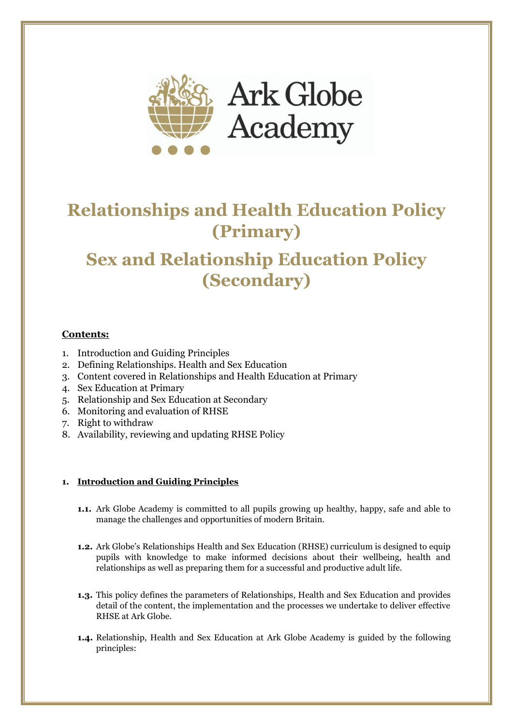

# **Relationships and Health Education Policy (Primary)**

# **Sex and Relationship Education Policy (Secondary)**

## **Contents:**

- 1. Introduction and Guiding Principles
- 2. Defining Relationships. Health and Sex Education
- 3. Content covered in Relationships and Health Education at Primary
- 4. Sex Education at Primary
- 5. Relationship and Sex Education at Secondary
- 6. Monitoring and evaluation of RHSE
- 7. Right to withdraw
- 8. Availability, reviewing and updating RHSE Policy

## **1. Introduction and Guiding Principles**

- **1.1.** Ark Globe Academy is committed to all pupils growing up healthy, happy, safe and able to manage the challenges and opportunities of modern Britain.
- **1.2.** Ark Globe's Relationships Health and Sex Education (RHSE) curriculum is designed to equip pupils with knowledge to make informed decisions about their wellbeing, health and relationships as well as preparing them for a successful and productive adult life.
- **1.3.** This policy defines the parameters of Relationships, Health and Sex Education and provides detail of the content, the implementation and the processes we undertake to deliver effective RHSE at Ark Globe.
- **1.4.** Relationship, Health and Sex Education at Ark Globe Academy is guided by the following principles: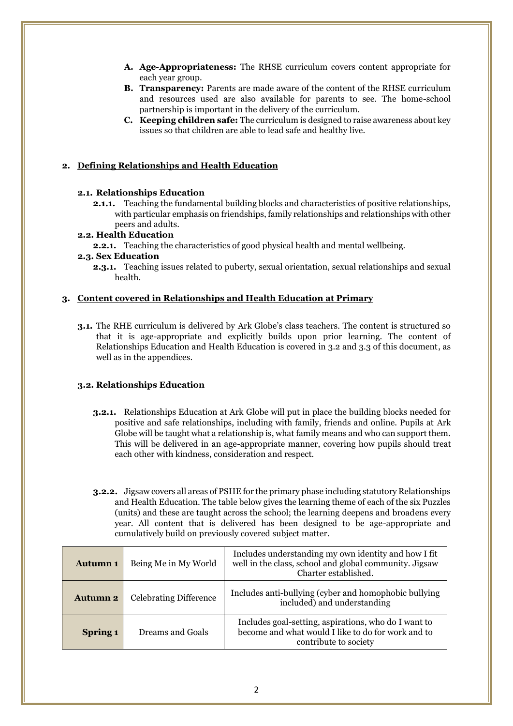- **A. Age-Appropriateness:** The RHSE curriculum covers content appropriate for each year group.
- **B. Transparency:** Parents are made aware of the content of the RHSE curriculum and resources used are also available for parents to see. The home-school partnership is important in the delivery of the curriculum.
- **C. Keeping children safe:** The curriculum is designed to raise awareness about key issues so that children are able to lead safe and healthy live.

## **2. Defining Relationships and Health Education**

#### **2.1. Relationships Education**

**2.1.1.** Teaching the fundamental building blocks and characteristics of positive relationships, with particular emphasis on friendships, family relationships and relationships with other peers and adults.

#### **2.2. Health Education**

**2.2.1.** Teaching the characteristics of good physical health and mental wellbeing.

#### **2.3. Sex Education**

**2.3.1.** Teaching issues related to puberty, sexual orientation, sexual relationships and sexual health.

#### **3. Content covered in Relationships and Health Education at Primary**

**3.1.** The RHE curriculum is delivered by Ark Globe's class teachers. The content is structured so that it is age-appropriate and explicitly builds upon prior learning. The content of Relationships Education and Health Education is covered in 3.2 and 3.3 of this document, as well as in the appendices.

#### **3.2. Relationships Education**

- **3.2.1.** Relationships Education at Ark Globe will put in place the building blocks needed for positive and safe relationships, including with family, friends and online. Pupils at Ark Globe will be taught what a relationship is, what family means and who can support them. This will be delivered in an age-appropriate manner, covering how pupils should treat each other with kindness, consideration and respect.
- **3.2.2.** Jigsaw covers all areas of PSHE for the primary phase including statutory Relationships and Health Education. The table below gives the learning theme of each of the six Puzzles (units) and these are taught across the school; the learning deepens and broadens every year. All content that is delivered has been designed to be age-appropriate and cumulatively build on previously covered subject matter.

| <b>Autumn 1</b> | Being Me in My World          | Includes understanding my own identity and how I fit<br>well in the class, school and global community. Jigsaw<br>Charter established. |  |
|-----------------|-------------------------------|----------------------------------------------------------------------------------------------------------------------------------------|--|
| <b>Autumn 2</b> | <b>Celebrating Difference</b> | Includes anti-bullying (cyber and homophobic bullying)<br>included) and understanding                                                  |  |
| Spring 1        | Dreams and Goals              | Includes goal-setting, aspirations, who do I want to<br>become and what would I like to do for work and to<br>contribute to society    |  |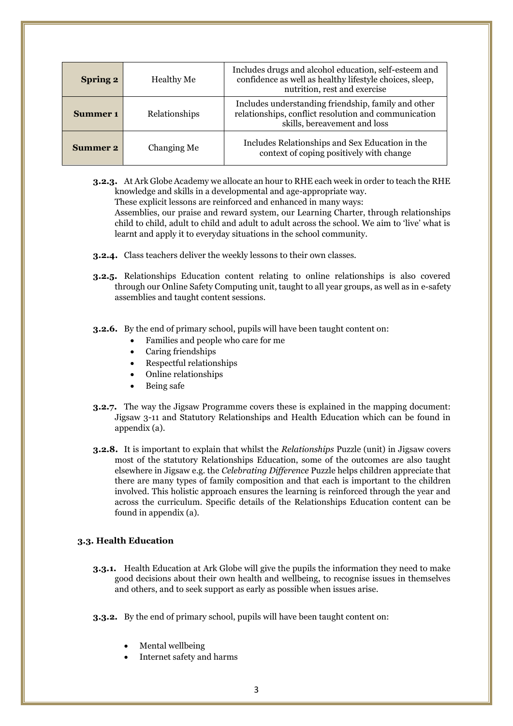| <b>Spring 2</b> | Healthy Me    | Includes drugs and alcohol education, self-esteem and<br>confidence as well as healthy lifestyle choices, sleep,<br>nutrition, rest and exercise |
|-----------------|---------------|--------------------------------------------------------------------------------------------------------------------------------------------------|
| Summer 1        | Relationships | Includes understanding friendship, family and other<br>relationships, conflict resolution and communication<br>skills, bereavement and loss      |
| Summer 2        | Changing Me   | Includes Relationships and Sex Education in the<br>context of coping positively with change                                                      |

**3.2.3.** At Ark Globe Academy we allocate an hour to RHE each week in order to teach the RHE knowledge and skills in a developmental and age-appropriate way. These explicit lessons are reinforced and enhanced in many ways:

Assemblies, our praise and reward system, our Learning Charter, through relationships child to child, adult to child and adult to adult across the school. We aim to 'live' what is learnt and apply it to everyday situations in the school community.

- **3.2.4.** Class teachers deliver the weekly lessons to their own classes.
- **3.2.5.** Relationships Education content relating to online relationships is also covered through our Online Safety Computing unit, taught to all year groups, as well as in e-safety assemblies and taught content sessions.
- **3.2.6.** By the end of primary school, pupils will have been taught content on:
	- Families and people who care for me
	- Caring friendships
	- Respectful relationships
	- Online relationships
	- Being safe
- **3.2.7.** The way the Jigsaw Programme covers these is explained in the mapping document: Jigsaw 3-11 and Statutory Relationships and Health Education which can be found in appendix (a).
- **3.2.8.** It is important to explain that whilst the *Relationships* Puzzle (unit) in Jigsaw covers most of the statutory Relationships Education, some of the outcomes are also taught elsewhere in Jigsaw e.g. the *Celebrating Difference* Puzzle helps children appreciate that there are many types of family composition and that each is important to the children involved. This holistic approach ensures the learning is reinforced through the year and across the curriculum. Specific details of the Relationships Education content can be found in appendix (a).

#### **3.3. Health Education**

- **3.3.1.** Health Education at Ark Globe will give the pupils the information they need to make good decisions about their own health and wellbeing, to recognise issues in themselves and others, and to seek support as early as possible when issues arise.
- **3.3.2.** By the end of primary school, pupils will have been taught content on:
	- Mental wellbeing
	- Internet safety and harms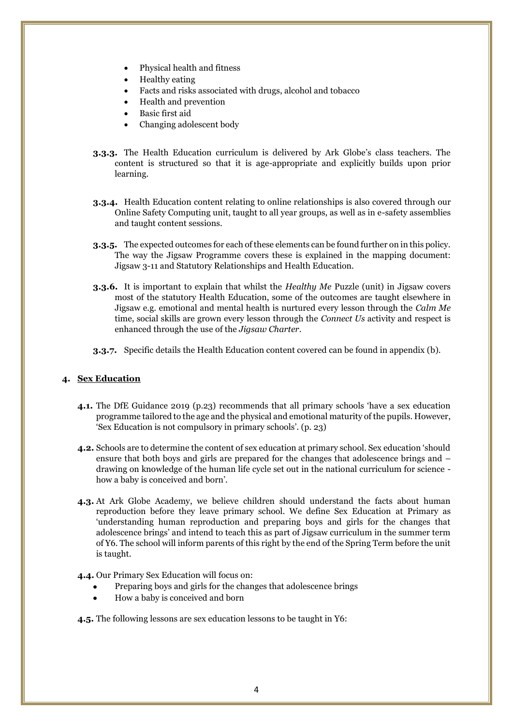- Physical health and fitness
- Healthy eating
- Facts and risks associated with drugs, alcohol and tobacco
- Health and prevention
- Basic first aid
- Changing adolescent body
- **3.3.3.** The Health Education curriculum is delivered by Ark Globe's class teachers. The content is structured so that it is age-appropriate and explicitly builds upon prior learning.
- **3.3.4.** Health Education content relating to online relationships is also covered through our Online Safety Computing unit, taught to all year groups, as well as in e-safety assemblies and taught content sessions.
- **3.3.5.** The expected outcomes for each of these elements can be found further on in this policy. The way the Jigsaw Programme covers these is explained in the mapping document: Jigsaw 3-11 and Statutory Relationships and Health Education.
- **3.3.6.** It is important to explain that whilst the *Healthy Me* Puzzle (unit) in Jigsaw covers most of the statutory Health Education, some of the outcomes are taught elsewhere in Jigsaw e.g. emotional and mental health is nurtured every lesson through the *Calm Me* time, social skills are grown every lesson through the *Connect Us* activity and respect is enhanced through the use of the *Jigsaw Charter*.
- **3.3.7.** Specific details the Health Education content covered can be found in appendix (b).

#### **4. Sex Education**

- **4.1.** The DfE Guidance 2019 (p.23) recommends that all primary schools 'have a sex education programme tailored to the age and the physical and emotional maturity of the pupils. However, 'Sex Education is not compulsory in primary schools'. (p. 23)
- **4.2.** Schools are to determine the content of sex education at primary school. Sex education 'should ensure that both boys and girls are prepared for the changes that adolescence brings and – drawing on knowledge of the human life cycle set out in the national curriculum for science how a baby is conceived and born'.
- **4.3.** At Ark Globe Academy, we believe children should understand the facts about human reproduction before they leave primary school. We define Sex Education at Primary as 'understanding human reproduction and preparing boys and girls for the changes that adolescence brings' and intend to teach this as part of Jigsaw curriculum in the summer term of Y6. The school will inform parents of this right by the end of the Spring Term before the unit is taught.

## **4.4.** Our Primary Sex Education will focus on:

- Preparing boys and girls for the changes that adolescence brings
- How a baby is conceived and born

**4.5.** The following lessons are sex education lessons to be taught in Y6: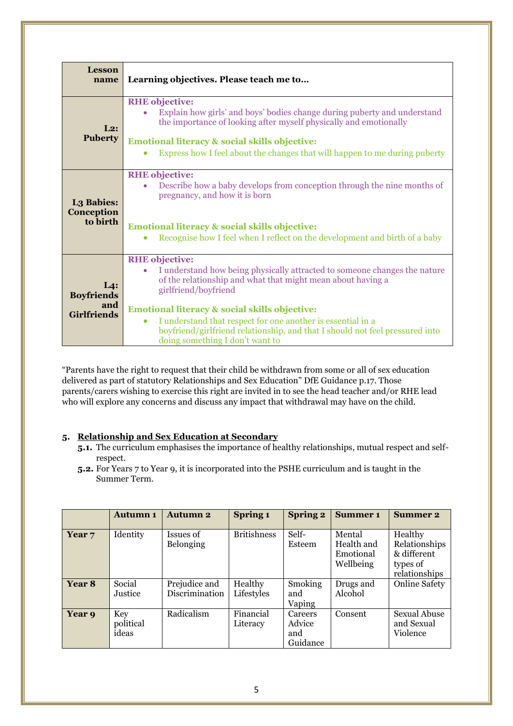| <b>Lesson</b><br>name                                 | Learning objectives. Please teach me to                                                                                                                                                                                                                                                                                                                                                                                                   |
|-------------------------------------------------------|-------------------------------------------------------------------------------------------------------------------------------------------------------------------------------------------------------------------------------------------------------------------------------------------------------------------------------------------------------------------------------------------------------------------------------------------|
| $L2$ :<br><b>Puberty</b>                              | <b>RHE</b> objective:<br>Explain how girls' and boys' bodies change during puberty and understand<br>the importance of looking after myself physically and emotionally<br><b>Emotional literacy &amp; social skills objective:</b><br>Express how I feel about the changes that will happen to me during puberty                                                                                                                          |
| L <sub>3</sub> Babies:<br>Conception<br>to birth      | <b>RHE</b> objective:<br>Describe how a baby develops from conception through the nine months of<br>pregnancy, and how it is born<br>Emotional literacy & social skills objective:<br>Recognise how I feel when I reflect on the development and birth of a baby                                                                                                                                                                          |
| La:<br><b>Boyfriends</b><br>and<br><b>Girlfriends</b> | <b>RHE</b> objective:<br>I understand how being physically attracted to someone changes the nature<br>of the relationship and what that might mean about having a<br>girlfriend/boyfriend<br>Emotional literacy & social skills objective:<br>I understand that respect for one another is essential in a<br>$\bullet$<br>boyfriend/girlfriend relationship, and that I should not feel pressured into<br>doing something I don't want to |

"Parents have the right to request that their child be withdrawn from some or all of sex education delivered as part of statutory Relationships and Sex Education" DfE Guidance p.17. Those parents/carers wishing to exercise this right are invited in to see the head teacher and/or RHE lead who will explore any concerns and discuss any impact that withdrawal may have on the child.

## **5. Relationship and Sex Education at Secondary**

- **5.1.** The curriculum emphasises the importance of healthy relationships, mutual respect and selfrespect.
- **5.2.** For Years 7 to Year 9, it is incorporated into the PSHE curriculum and is taught in the Summer Term.

|                   | <b>Autumn 1</b>           | <b>Autumn 2</b>                 | Spring 1              | <b>Spring 2</b>                      | <b>Summer 1</b>                                | <b>Summer 2</b>                                                      |
|-------------------|---------------------------|---------------------------------|-----------------------|--------------------------------------|------------------------------------------------|----------------------------------------------------------------------|
| Year <sub>7</sub> | Identity                  | Issues of<br><b>Belonging</b>   | <b>Britishness</b>    | Self-<br>Esteem                      | Mental<br>Health and<br>Emotional<br>Wellbeing | Healthy<br>Relationships<br>& different<br>types of<br>relationships |
| Year <sub>8</sub> | Social<br>Justice         | Prejudice and<br>Discrimination | Healthy<br>Lifestyles | Smoking<br>and<br>Vaping             | Drugs and<br>Alcohol                           | <b>Online Safety</b>                                                 |
| Year 9            | Key<br>political<br>ideas | Radicalism                      | Financial<br>Literacy | Careers<br>Advice<br>and<br>Guidance | Consent                                        | <b>Sexual Abuse</b><br>and Sexual<br>Violence                        |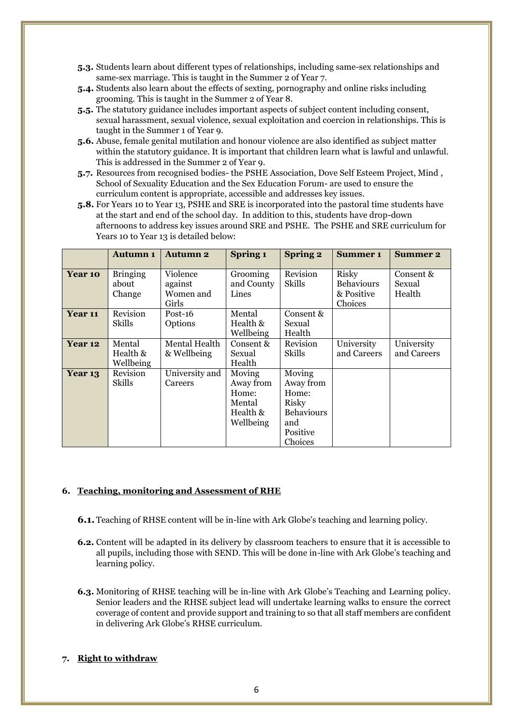- **5.3.** Students learn about different types of relationships, including same-sex relationships and same-sex marriage. This is taught in the Summer 2 of Year 7.
- **5.4.** Students also learn about the effects of sexting, pornography and online risks including grooming. This is taught in the Summer 2 of Year 8.
- **5.5.** The statutory guidance includes important aspects of subject content including consent, sexual harassment, sexual violence, sexual exploitation and coercion in relationships. This is taught in the Summer 1 of Year 9.
- **5.6.** Abuse, female genital mutilation and honour violence are also identified as subject matter within the statutory guidance. It is important that children learn what is lawful and unlawful. This is addressed in the Summer 2 of Year 9.
- **5.7.** Resources from recognised bodies- the PSHE Association, Dove Self Esteem Project, Mind , School of Sexuality Education and the Sex Education Forum- are used to ensure the curriculum content is appropriate, accessible and addresses key issues.
- **5.8.** For Years 10 to Year 13, PSHE and SRE is incorporated into the pastoral time students have at the start and end of the school day. In addition to this, students have drop-down afternoons to address key issues around SRE and PSHE. The PSHE and SRE curriculum for Years 10 to Year 13 is detailed below:

|         | <b>Autumn 1</b>                    | <b>Autumn 2</b>                           | Spring 1                                                        | <b>Spring 2</b>                                                                                 | <b>Summer 1</b>                                     | <b>Summer 2</b>               |
|---------|------------------------------------|-------------------------------------------|-----------------------------------------------------------------|-------------------------------------------------------------------------------------------------|-----------------------------------------------------|-------------------------------|
| Year 10 | <b>Bringing</b><br>about<br>Change | Violence<br>against<br>Women and<br>Girls | Grooming<br>and County<br>Lines                                 | Revision<br>Skills                                                                              | Risky<br><b>Behaviours</b><br>& Positive<br>Choices | Consent &<br>Sexual<br>Health |
| Year 11 | Revision<br>Skills                 | $Post-16$<br>Options                      | Mental<br>Health &<br>Wellbeing                                 | Consent &<br>Sexual<br>Health                                                                   |                                                     |                               |
| Year 12 | Mental<br>Health &<br>Wellbeing    | Mental Health<br>& Wellbeing              | Consent &<br>Sexual<br>Health                                   | Revision<br>Skills                                                                              | University<br>and Careers                           | University<br>and Careers     |
| Year 13 | Revision<br>Skills                 | University and<br>Careers                 | Moving<br>Away from<br>Home:<br>Mental<br>Health &<br>Wellbeing | Moving<br>Away from<br>Home:<br><b>Risky</b><br><b>Behaviours</b><br>and<br>Positive<br>Choices |                                                     |                               |

#### **6. Teaching, monitoring and Assessment of RHE**

- **6.1.** Teaching of RHSE content will be in-line with Ark Globe's teaching and learning policy.
- **6.2.** Content will be adapted in its delivery by classroom teachers to ensure that it is accessible to all pupils, including those with SEND. This will be done in-line with Ark Globe's teaching and learning policy.
- **6.3.** Monitoring of RHSE teaching will be in-line with Ark Globe's Teaching and Learning policy. Senior leaders and the RHSE subject lead will undertake learning walks to ensure the correct coverage of content and provide support and training to so that all staff members are confident in delivering Ark Globe's RHSE curriculum.

#### **7. Right to withdraw**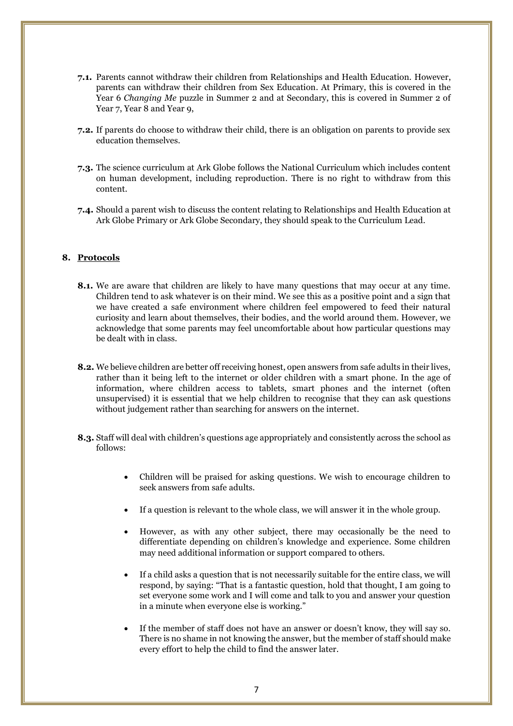- **7.1.** Parents cannot withdraw their children from Relationships and Health Education. However, parents can withdraw their children from Sex Education. At Primary, this is covered in the Year 6 *Changing Me* puzzle in Summer 2 and at Secondary, this is covered in Summer 2 of Year 7, Year 8 and Year 9,
- **7.2.** If parents do choose to withdraw their child, there is an obligation on parents to provide sex education themselves.
- **7.3.** The science curriculum at Ark Globe follows the National Curriculum which includes content on human development, including reproduction. There is no right to withdraw from this content.
- **7.4.** Should a parent wish to discuss the content relating to Relationships and Health Education at Ark Globe Primary or Ark Globe Secondary, they should speak to the Curriculum Lead.

#### **8. Protocols**

- **8.1.** We are aware that children are likely to have many questions that may occur at any time. Children tend to ask whatever is on their mind. We see this as a positive point and a sign that we have created a safe environment where children feel empowered to feed their natural curiosity and learn about themselves, their bodies, and the world around them. However, we acknowledge that some parents may feel uncomfortable about how particular questions may be dealt with in class.
- **8.2.** We believe children are better off receiving honest, open answers from safe adults in their lives, rather than it being left to the internet or older children with a smart phone. In the age of information, where children access to tablets, smart phones and the internet (often unsupervised) it is essential that we help children to recognise that they can ask questions without judgement rather than searching for answers on the internet.
- **8.3.** Staff will deal with children's questions age appropriately and consistently across the school as follows:
	- Children will be praised for asking questions. We wish to encourage children to seek answers from safe adults.
	- If a question is relevant to the whole class, we will answer it in the whole group.
	- However, as with any other subject, there may occasionally be the need to differentiate depending on children's knowledge and experience. Some children may need additional information or support compared to others.
	- If a child asks a question that is not necessarily suitable for the entire class, we will respond, by saying: "That is a fantastic question, hold that thought, I am going to set everyone some work and I will come and talk to you and answer your question in a minute when everyone else is working."
	- If the member of staff does not have an answer or doesn't know, they will say so. There is no shame in not knowing the answer, but the member of staff should make every effort to help the child to find the answer later.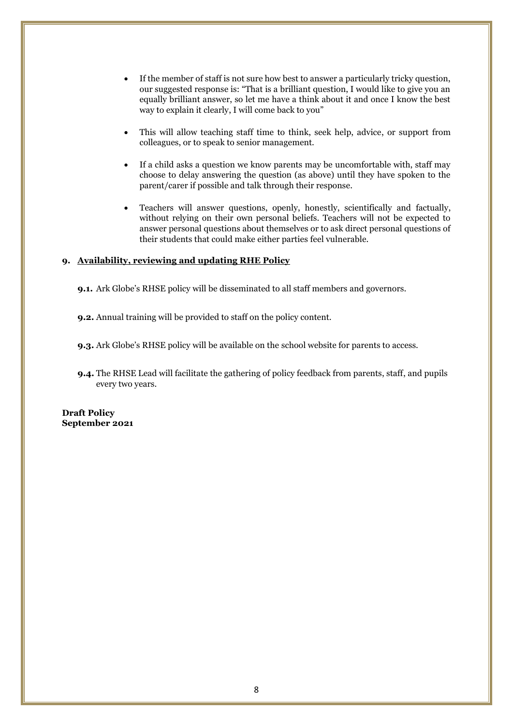- If the member of staff is not sure how best to answer a particularly tricky question, our suggested response is: "That is a brilliant question, I would like to give you an equally brilliant answer, so let me have a think about it and once I know the best way to explain it clearly, I will come back to you"
- This will allow teaching staff time to think, seek help, advice, or support from colleagues, or to speak to senior management.
- If a child asks a question we know parents may be uncomfortable with, staff may choose to delay answering the question (as above) until they have spoken to the parent/carer if possible and talk through their response.
- Teachers will answer questions, openly, honestly, scientifically and factually, without relying on their own personal beliefs. Teachers will not be expected to answer personal questions about themselves or to ask direct personal questions of their students that could make either parties feel vulnerable.

#### **9. Availability, reviewing and updating RHE Policy**

**9.1.** Ark Globe's RHSE policy will be disseminated to all staff members and governors.

**9.2.** Annual training will be provided to staff on the policy content.

**9.3.** Ark Globe's RHSE policy will be available on the school website for parents to access.

**9.4.** The RHSE Lead will facilitate the gathering of policy feedback from parents, staff, and pupils every two years.

**Draft Policy September 2021**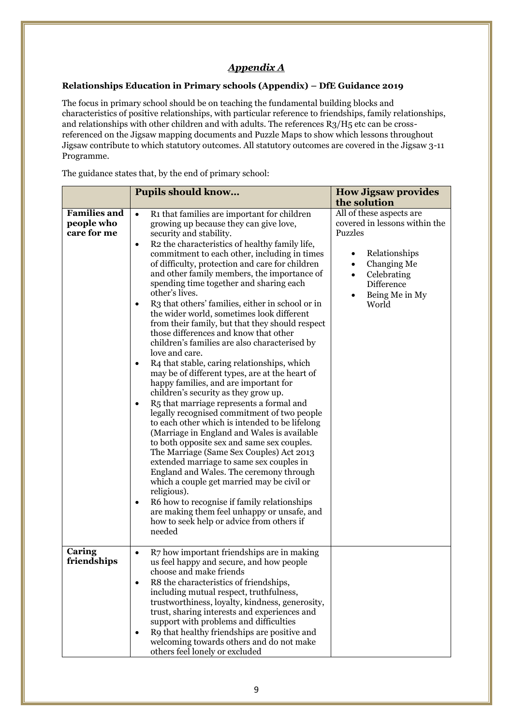# *Appendix A*

### **Relationships Education in Primary schools (Appendix) – DfE Guidance 2019**

The focus in primary school should be on teaching the fundamental building blocks and characteristics of positive relationships, with particular reference to friendships, family relationships, and relationships with other children and with adults. The references R3/H5 etc can be crossreferenced on the Jigsaw mapping documents and Puzzle Maps to show which lessons throughout Jigsaw contribute to which statutory outcomes. All statutory outcomes are covered in the Jigsaw 3-11 Programme.

The guidance states that, by the end of primary school:

|                                                  | <b>Pupils should know</b>                                                                                                                                                                                                                                                                                                                                                                                                                                                                                                                                                                                                                                                                                                                                                                                                                                                                                                                                                                                                                                                                                                                                                                                                                                                                                                                                                                                                                                                                                | <b>How Jigsaw provides</b>                                                                                                                                                                                       |
|--------------------------------------------------|----------------------------------------------------------------------------------------------------------------------------------------------------------------------------------------------------------------------------------------------------------------------------------------------------------------------------------------------------------------------------------------------------------------------------------------------------------------------------------------------------------------------------------------------------------------------------------------------------------------------------------------------------------------------------------------------------------------------------------------------------------------------------------------------------------------------------------------------------------------------------------------------------------------------------------------------------------------------------------------------------------------------------------------------------------------------------------------------------------------------------------------------------------------------------------------------------------------------------------------------------------------------------------------------------------------------------------------------------------------------------------------------------------------------------------------------------------------------------------------------------------|------------------------------------------------------------------------------------------------------------------------------------------------------------------------------------------------------------------|
|                                                  |                                                                                                                                                                                                                                                                                                                                                                                                                                                                                                                                                                                                                                                                                                                                                                                                                                                                                                                                                                                                                                                                                                                                                                                                                                                                                                                                                                                                                                                                                                          | the solution                                                                                                                                                                                                     |
| <b>Families and</b><br>people who<br>care for me | R1 that families are important for children<br>$\bullet$<br>growing up because they can give love,<br>security and stability.<br>R2 the characteristics of healthy family life,<br>$\bullet$<br>commitment to each other, including in times<br>of difficulty, protection and care for children<br>and other family members, the importance of<br>spending time together and sharing each<br>other's lives.<br>R3 that others' families, either in school or in<br>$\bullet$<br>the wider world, sometimes look different<br>from their family, but that they should respect<br>those differences and know that other<br>children's families are also characterised by<br>love and care.<br>R4 that stable, caring relationships, which<br>$\bullet$<br>may be of different types, are at the heart of<br>happy families, and are important for<br>children's security as they grow up.<br>R5 that marriage represents a formal and<br>٠<br>legally recognised commitment of two people<br>to each other which is intended to be lifelong<br>(Marriage in England and Wales is available<br>to both opposite sex and same sex couples.<br>The Marriage (Same Sex Couples) Act 2013<br>extended marriage to same sex couples in<br>England and Wales. The ceremony through<br>which a couple get married may be civil or<br>religious).<br>R6 how to recognise if family relationships<br>$\bullet$<br>are making them feel unhappy or unsafe, and<br>how to seek help or advice from others if<br>needed | All of these aspects are<br>covered in lessons within the<br>Puzzles<br>Relationships<br>$\bullet$<br>Changing Me<br>$\bullet$<br>Celebrating<br>$\bullet$<br>Difference<br>Being Me in My<br>$\bullet$<br>World |
| Caring<br>friendships                            | R7 how important friendships are in making<br>$\bullet$<br>us feel happy and secure, and how people<br>choose and make friends<br>R8 the characteristics of friendships,<br>$\bullet$<br>including mutual respect, truthfulness,<br>trustworthiness, loyalty, kindness, generosity,<br>trust, sharing interests and experiences and<br>support with problems and difficulties<br>R9 that healthy friendships are positive and<br>$\bullet$<br>welcoming towards others and do not make<br>others feel lonely or excluded                                                                                                                                                                                                                                                                                                                                                                                                                                                                                                                                                                                                                                                                                                                                                                                                                                                                                                                                                                                 |                                                                                                                                                                                                                  |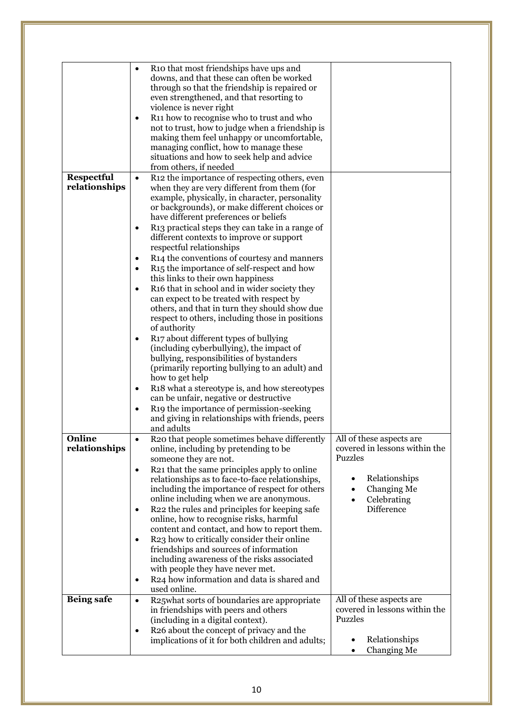|                         | R10 that most friendships have ups and<br>$\bullet$<br>downs, and that these can often be worked<br>through so that the friendship is repaired or<br>even strengthened, and that resorting to<br>violence is never right<br>R11 how to recognise who to trust and who<br>$\bullet$<br>not to trust, how to judge when a friendship is<br>making them feel unhappy or uncomfortable,<br>managing conflict, how to manage these<br>situations and how to seek help and advice<br>from others, if needed |                                                                             |
|-------------------------|-------------------------------------------------------------------------------------------------------------------------------------------------------------------------------------------------------------------------------------------------------------------------------------------------------------------------------------------------------------------------------------------------------------------------------------------------------------------------------------------------------|-----------------------------------------------------------------------------|
| Respectful              | R12 the importance of respecting others, even<br>$\bullet$                                                                                                                                                                                                                                                                                                                                                                                                                                            |                                                                             |
| relationships           | when they are very different from them (for<br>example, physically, in character, personality<br>or backgrounds), or make different choices or<br>have different preferences or beliefs                                                                                                                                                                                                                                                                                                               |                                                                             |
|                         | R13 practical steps they can take in a range of<br>$\bullet$<br>different contexts to improve or support<br>respectful relationships                                                                                                                                                                                                                                                                                                                                                                  |                                                                             |
|                         | R14 the conventions of courtesy and manners<br>٠                                                                                                                                                                                                                                                                                                                                                                                                                                                      |                                                                             |
|                         | R <sub>15</sub> the importance of self-respect and how<br>$\bullet$<br>this links to their own happiness                                                                                                                                                                                                                                                                                                                                                                                              |                                                                             |
|                         | R <sub>16</sub> that in school and in wider society they<br>٠                                                                                                                                                                                                                                                                                                                                                                                                                                         |                                                                             |
|                         | can expect to be treated with respect by<br>others, and that in turn they should show due<br>respect to others, including those in positions<br>of authority                                                                                                                                                                                                                                                                                                                                          |                                                                             |
|                         | R <sub>17</sub> about different types of bullying<br>$\bullet$<br>(including cyberbullying), the impact of<br>bullying, responsibilities of bystanders<br>(primarily reporting bullying to an adult) and<br>how to get help                                                                                                                                                                                                                                                                           |                                                                             |
|                         | R18 what a stereotype is, and how stereotypes<br>$\bullet$                                                                                                                                                                                                                                                                                                                                                                                                                                            |                                                                             |
|                         | can be unfair, negative or destructive                                                                                                                                                                                                                                                                                                                                                                                                                                                                |                                                                             |
|                         | R19 the importance of permission-seeking<br>$\bullet$<br>and giving in relationships with friends, peers<br>and adults                                                                                                                                                                                                                                                                                                                                                                                |                                                                             |
| Online<br>relationships | R20 that people sometimes behave differently<br>$\bullet$<br>online, including by pretending to be<br>someone they are not.                                                                                                                                                                                                                                                                                                                                                                           | All of these aspects are<br>covered in lessons within the<br><b>Puzzles</b> |
|                         | R21 that the same principles apply to online<br>$\bullet$<br>relationships as to face-to-face relationships,<br>including the importance of respect for others                                                                                                                                                                                                                                                                                                                                        | Relationships<br>Changing Me                                                |
|                         | online including when we are anonymous.<br>R22 the rules and principles for keeping safe<br>$\bullet$<br>online, how to recognise risks, harmful                                                                                                                                                                                                                                                                                                                                                      | Celebrating<br>Difference                                                   |
|                         | content and contact, and how to report them.<br>R23 how to critically consider their online<br>$\bullet$<br>friendships and sources of information                                                                                                                                                                                                                                                                                                                                                    |                                                                             |
|                         | including awareness of the risks associated                                                                                                                                                                                                                                                                                                                                                                                                                                                           |                                                                             |
|                         | with people they have never met.<br>R24 how information and data is shared and<br>$\bullet$<br>used online.                                                                                                                                                                                                                                                                                                                                                                                           |                                                                             |
| <b>Being safe</b>       | R25what sorts of boundaries are appropriate<br>$\bullet$<br>in friendships with peers and others<br>(including in a digital context).                                                                                                                                                                                                                                                                                                                                                                 | All of these aspects are<br>covered in lessons within the<br>Puzzles        |
|                         | R <sub>26</sub> about the concept of privacy and the<br>$\bullet$                                                                                                                                                                                                                                                                                                                                                                                                                                     |                                                                             |
|                         | implications of it for both children and adults;                                                                                                                                                                                                                                                                                                                                                                                                                                                      | Relationships<br>Changing Me                                                |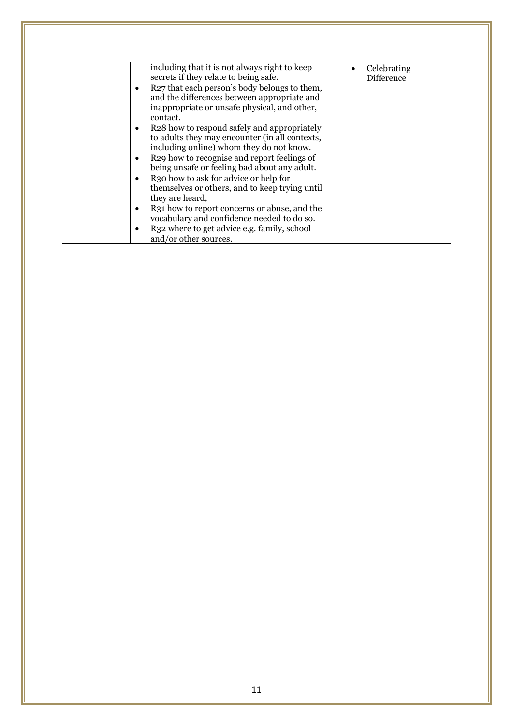|   | including that it is not always right to keep<br>secrets if they relate to being safe.                                                                  | Celebrating<br><b>Difference</b> |
|---|---------------------------------------------------------------------------------------------------------------------------------------------------------|----------------------------------|
|   | R27 that each person's body belongs to them,<br>and the differences between appropriate and<br>inappropriate or unsafe physical, and other,<br>contact. |                                  |
|   | R <sub>28</sub> how to respond safely and appropriately<br>to adults they may encounter (in all contexts,<br>including online) whom they do not know.   |                                  |
|   | R <sub>29</sub> how to recognise and report feelings of<br>being unsafe or feeling bad about any adult.                                                 |                                  |
|   | R <sub>3</sub> o how to ask for advice or help for<br>themselves or others, and to keep trying until<br>they are heard,                                 |                                  |
| ٠ | R31 how to report concerns or abuse, and the<br>vocabulary and confidence needed to do so.                                                              |                                  |
|   | R <sub>32</sub> where to get advice e.g. family, school<br>and/or other sources.                                                                        |                                  |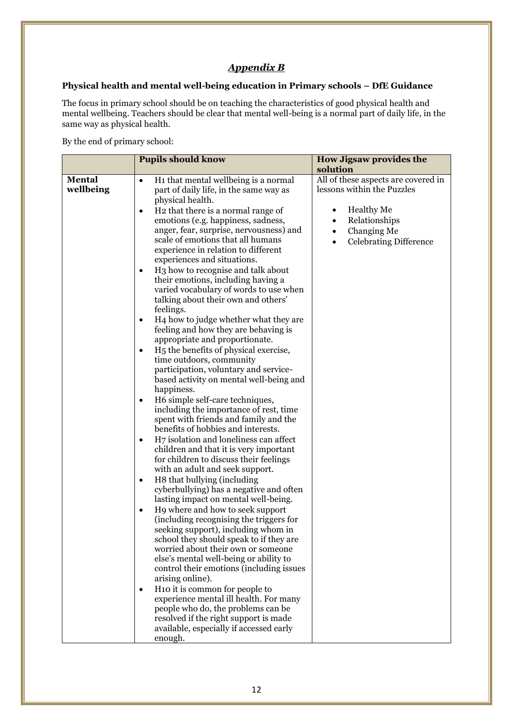## *Appendix B*

## **Physical health and mental well-being education in Primary schools – DfE Guidance**

The focus in primary school should be on teaching the characteristics of good physical health and mental wellbeing. Teachers should be clear that mental well-being is a normal part of daily life, in the same way as physical health.

By the end of primary school:

|                            | <b>Pupils should know</b>                                                                                                                                                                                                                                                                                                                                                                                                                                                                                                                                                                                                                                                                                                                                                                                                                                                                                                                                                                                                                                                                                                                                                                                                                                                                                                                                                                                                                                                                                                                                                                                                                                                                                                                                                                                                                                                                                                                                                  | <b>How Jigsaw provides the</b><br>solution                                                                                                                                             |
|----------------------------|----------------------------------------------------------------------------------------------------------------------------------------------------------------------------------------------------------------------------------------------------------------------------------------------------------------------------------------------------------------------------------------------------------------------------------------------------------------------------------------------------------------------------------------------------------------------------------------------------------------------------------------------------------------------------------------------------------------------------------------------------------------------------------------------------------------------------------------------------------------------------------------------------------------------------------------------------------------------------------------------------------------------------------------------------------------------------------------------------------------------------------------------------------------------------------------------------------------------------------------------------------------------------------------------------------------------------------------------------------------------------------------------------------------------------------------------------------------------------------------------------------------------------------------------------------------------------------------------------------------------------------------------------------------------------------------------------------------------------------------------------------------------------------------------------------------------------------------------------------------------------------------------------------------------------------------------------------------------------|----------------------------------------------------------------------------------------------------------------------------------------------------------------------------------------|
| <b>Mental</b><br>wellbeing | H <sub>1</sub> that mental wellbeing is a normal<br>$\bullet$<br>part of daily life, in the same way as<br>physical health.<br>H <sub>2</sub> that there is a normal range of<br>$\bullet$<br>emotions (e.g. happiness, sadness,<br>anger, fear, surprise, nervousness) and<br>scale of emotions that all humans<br>experience in relation to different<br>experiences and situations.<br>H <sub>3</sub> how to recognise and talk about<br>$\bullet$<br>their emotions, including having a<br>varied vocabulary of words to use when<br>talking about their own and others'<br>feelings.<br>H <sub>4</sub> how to judge whether what they are<br>$\bullet$<br>feeling and how they are behaving is<br>appropriate and proportionate.<br>H <sub>5</sub> the benefits of physical exercise,<br>$\bullet$<br>time outdoors, community<br>participation, voluntary and service-<br>based activity on mental well-being and<br>happiness.<br>H6 simple self-care techniques,<br>$\bullet$<br>including the importance of rest, time<br>spent with friends and family and the<br>benefits of hobbies and interests.<br>H7 isolation and loneliness can affect<br>$\bullet$<br>children and that it is very important<br>for children to discuss their feelings<br>with an adult and seek support.<br>H8 that bullying (including<br>$\bullet$<br>cyberbullying) has a negative and often<br>lasting impact on mental well-being.<br>H9 where and how to seek support<br>$\bullet$<br>(including recognising the triggers for<br>seeking support), including whom in<br>school they should speak to if they are<br>worried about their own or someone<br>else's mental well-being or ability to<br>control their emotions (including issues<br>arising online).<br>H10 it is common for people to<br>experience mental ill health. For many<br>people who do, the problems can be<br>resolved if the right support is made<br>available, especially if accessed early<br>enough. | All of these aspects are covered in<br>lessons within the Puzzles<br><b>Healthy Me</b><br>٠<br>Relationships<br>Changing Me<br>$\bullet$<br><b>Celebrating Difference</b><br>$\bullet$ |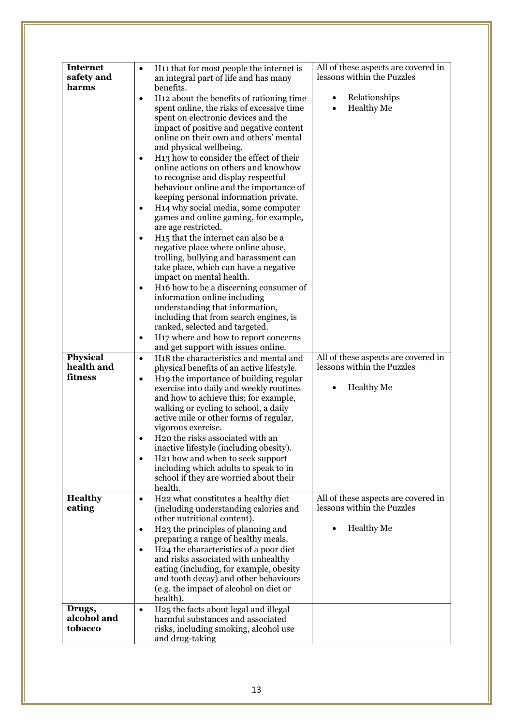| <b>Internet</b> | H <sub>11</sub> that for most people the internet is<br>$\bullet$ | All of these aspects are covered in |
|-----------------|-------------------------------------------------------------------|-------------------------------------|
| safety and      | an integral part of life and has many                             | lessons within the Puzzles          |
| harms           | benefits.                                                         |                                     |
|                 | H <sub>12</sub> about the benefits of rationing time<br>$\bullet$ | Relationships                       |
|                 | spent online, the risks of excessive time                         | <b>Healthy Me</b>                   |
|                 | spent on electronic devices and the                               |                                     |
|                 | impact of positive and negative content                           |                                     |
|                 | online on their own and others' mental                            |                                     |
|                 | and physical wellbeing.                                           |                                     |
|                 | H <sub>13</sub> how to consider the effect of their<br>$\bullet$  |                                     |
|                 | online actions on others and knowhow                              |                                     |
|                 | to recognise and display respectful                               |                                     |
|                 | behaviour online and the importance of                            |                                     |
|                 | keeping personal information private.                             |                                     |
|                 | H <sub>14</sub> why social media, some computer<br>$\bullet$      |                                     |
|                 | games and online gaming, for example,                             |                                     |
|                 | are age restricted.                                               |                                     |
|                 | H <sub>15</sub> that the internet can also be a<br>$\bullet$      |                                     |
|                 | negative place where online abuse,                                |                                     |
|                 | trolling, bullying and harassment can                             |                                     |
|                 | take place, which can have a negative                             |                                     |
|                 | impact on mental health.                                          |                                     |
|                 | H <sub>16</sub> how to be a discerning consumer of<br>$\bullet$   |                                     |
|                 | information online including                                      |                                     |
|                 | understanding that information,                                   |                                     |
|                 | including that from search engines, is                            |                                     |
|                 | ranked, selected and targeted.                                    |                                     |
|                 | H <sub>17</sub> where and how to report concerns<br>$\bullet$     |                                     |
|                 | and get support with issues online.                               |                                     |
| <b>Physical</b> | H18 the characteristics and mental and<br>$\bullet$               | All of these aspects are covered in |
| health and      | physical benefits of an active lifestyle.                         | lessons within the Puzzles          |
| fitness         | H <sub>19</sub> the importance of building regular<br>$\bullet$   |                                     |
|                 | exercise into daily and weekly routines                           | <b>Healthy Me</b>                   |
|                 | and how to achieve this; for example,                             |                                     |
|                 | walking or cycling to school, a daily                             |                                     |
|                 | active mile or other forms of regular,                            |                                     |
|                 | vigorous exercise.                                                |                                     |
|                 | H20 the risks associated with an                                  |                                     |
|                 | inactive lifestyle (including obesity).                           |                                     |
|                 | H <sub>21</sub> how and when to seek support<br>$\bullet$         |                                     |
|                 | including which adults to speak to in                             |                                     |
|                 | school if they are worried about their                            |                                     |
|                 | health.                                                           |                                     |
| <b>Healthy</b>  |                                                                   |                                     |
|                 | H22 what constitutes a healthy diet<br>$\bullet$                  | All of these aspects are covered in |
| eating          | (including understanding calories and                             | lessons within the Puzzles          |
|                 | other nutritional content).                                       |                                     |
|                 | H <sub>23</sub> the principles of planning and<br>$\bullet$       | <b>Healthy Me</b>                   |
|                 | preparing a range of healthy meals.                               |                                     |
|                 | H24 the characteristics of a poor diet<br>$\bullet$               |                                     |
|                 | and risks associated with unhealthy                               |                                     |
|                 | eating (including, for example, obesity                           |                                     |
|                 | and tooth decay) and other behaviours                             |                                     |
|                 | (e.g. the impact of alcohol on diet or                            |                                     |
|                 | health).                                                          |                                     |
| Drugs,          | H25 the facts about legal and illegal<br>$\bullet$                |                                     |
| alcohol and     | harmful substances and associated                                 |                                     |
| tobacco         | risks, including smoking, alcohol use<br>and drug-taking          |                                     |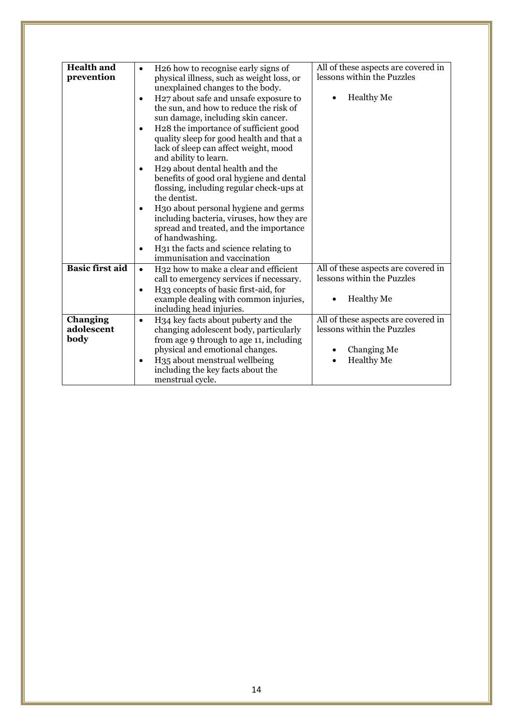| <b>Health and</b><br>prevention | H26 how to recognise early signs of<br>$\bullet$<br>physical illness, such as weight loss, or<br>unexplained changes to the body.<br>H <sub>27</sub> about safe and unsafe exposure to<br>$\bullet$<br>the sun, and how to reduce the risk of<br>sun damage, including skin cancer.<br>H <sub>2</sub> 8 the importance of sufficient good<br>$\bullet$<br>quality sleep for good health and that a<br>lack of sleep can affect weight, mood<br>and ability to learn.<br>H29 about dental health and the<br>$\bullet$<br>benefits of good oral hygiene and dental<br>flossing, including regular check-ups at<br>the dentist.<br>H <sub>3</sub> o about personal hygiene and germs<br>including bacteria, viruses, how they are<br>spread and treated, and the importance<br>of handwashing.<br>H31 the facts and science relating to<br>$\bullet$<br>immunisation and vaccination | All of these aspects are covered in<br>lessons within the Puzzles<br><b>Healthy Me</b>                |
|---------------------------------|-----------------------------------------------------------------------------------------------------------------------------------------------------------------------------------------------------------------------------------------------------------------------------------------------------------------------------------------------------------------------------------------------------------------------------------------------------------------------------------------------------------------------------------------------------------------------------------------------------------------------------------------------------------------------------------------------------------------------------------------------------------------------------------------------------------------------------------------------------------------------------------|-------------------------------------------------------------------------------------------------------|
| <b>Basic first aid</b>          | H <sub>32</sub> how to make a clear and efficient<br>$\bullet$<br>call to emergency services if necessary.<br>H33 concepts of basic first-aid, for<br>$\bullet$<br>example dealing with common injuries,<br>including head injuries.                                                                                                                                                                                                                                                                                                                                                                                                                                                                                                                                                                                                                                              | All of these aspects are covered in<br>lessons within the Puzzles<br><b>Healthy Me</b>                |
| Changing<br>adolescent<br>body  | H34 key facts about puberty and the<br>$\bullet$<br>changing adolescent body, particularly<br>from age 9 through to age 11, including<br>physical and emotional changes.<br>H <sub>35</sub> about menstrual wellbeing<br>$\bullet$<br>including the key facts about the<br>menstrual cycle.                                                                                                                                                                                                                                                                                                                                                                                                                                                                                                                                                                                       | All of these aspects are covered in<br>lessons within the Puzzles<br>Changing Me<br><b>Healthy Me</b> |